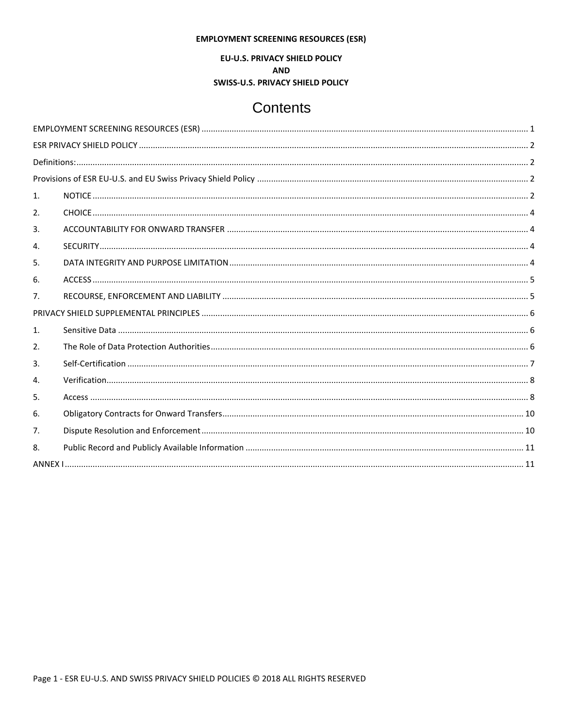## **EMPLOYMENT SCREENING RESOURCES (ESR)**

EU-U.S. PRIVACY SHIELD POLICY

**AND** 

**SWISS-U.S. PRIVACY SHIELD POLICY** 

# Contents

<span id="page-0-0"></span>

| 1. |  |  |  |
|----|--|--|--|
| 2. |  |  |  |
| 3. |  |  |  |
| 4. |  |  |  |
| 5. |  |  |  |
| 6. |  |  |  |
| 7. |  |  |  |
|    |  |  |  |
| 1. |  |  |  |
| 2. |  |  |  |
| 3. |  |  |  |
| 4. |  |  |  |
| 5. |  |  |  |
| 6. |  |  |  |
| 7. |  |  |  |
| 8. |  |  |  |
|    |  |  |  |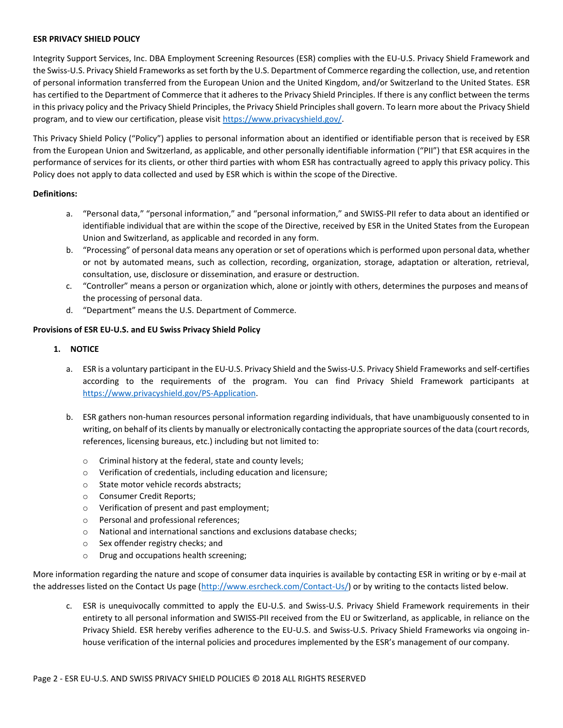## <span id="page-1-0"></span>**ESR PRIVACY SHIELD POLICY**

Integrity Support Services, Inc. DBA Employment Screening Resources (ESR) complies with the EU-U.S. Privacy Shield Framework and the Swiss-U.S. Privacy Shield Frameworks as set forth by the U.S. Department of Commerce regarding the collection, use, and retention of personal information transferred from the European Union and the United Kingdom, and/or Switzerland to the United States. ESR has certified to the Department of Commerce that it adheres to the Privacy Shield Principles. If there is any conflict between the terms in this privacy policy and the Privacy Shield Principles, the Privacy Shield Principles shall govern. To learn more about the Privacy Shield program, and to view our certification, please visit [https://www.privacyshield.gov/.](https://www.privacyshield.gov/)

This Privacy Shield Policy ("Policy") applies to personal information about an identified or identifiable person that is received by ESR from the European Union and Switzerland, as applicable, and other personally identifiable information ("PII") that ESR acquires in the performance of services for its clients, or other third parties with whom ESR has contractually agreed to apply this privacy policy. This Policy does not apply to data collected and used by ESR which is within the scope of the Directive.

## <span id="page-1-1"></span>**Definitions:**

- a. "Personal data," "personal information," and "personal information," and SWISS-PII refer to data about an identified or identifiable individual that are within the scope of the Directive, received by ESR in the United States from the European Union and Switzerland, as applicable and recorded in any form.
- b. "Processing" of personal data means any operation orset of operations which is performed upon personal data, whether or not by automated means, such as collection, recording, organization, storage, adaptation or alteration, retrieval, consultation, use, disclosure or dissemination, and erasure or destruction.
- c. "Controller" means a person or organization which, alone or jointly with others, determines the purposes and means of the processing of personal data.
- d. "Department" means the U.S. Department of Commerce.

# <span id="page-1-3"></span><span id="page-1-2"></span>**Provisions of ESR EU-U.S. and EU Swiss Privacy Shield Policy**

# **1. NOTICE**

- a. ESR is a voluntary participant in the EU-U.S. Privacy Shield and the Swiss-U.S. Privacy Shield Frameworks and self-certifies according to the requirements of the program. You can find Privacy Shield Framework participants a[t](https://www.privacyshield.gov/PS-Application) [https://www.privacyshield.gov/PS-Application.](https://www.privacyshield.gov/PS-Application)
- b. ESR gathers non-human resources personal information regarding individuals, that have unambiguously consented to in writing, on behalf of its clients by manually or electronically contacting the appropriate sources of the data (court records, references, licensing bureaus, etc.) including but not limited to:
	- o Criminal history at the federal, state and county levels;
	- o Verification of credentials, including education and licensure;
	- o State motor vehicle records abstracts;
	- o Consumer Credit Reports;
	- o Verification of present and past employment;
	- o Personal and professional references;
	- o National and international sanctions and exclusions database checks;
	- o Sex offender registry checks; and
	- o Drug and occupations health screening;

More information regarding the nature and scope of consumer data inquiries is available by contacting ESR in writing or by e-mail at the addresses listed on the Contact Us page [\(http://www.esrcheck.com/Contact-Us/\)](http://www.esrcheck.com/Contact-Us/) or by writing to the contacts listed below.

c. ESR is unequivocally committed to apply the EU-U.S. and Swiss-U.S. Privacy Shield Framework requirements in their entirety to all personal information and SWISS-PII received from the EU or Switzerland, as applicable, in reliance on the Privacy Shield. ESR hereby verifies adherence to the EU-U.S. and Swiss-U.S. Privacy Shield Frameworks via ongoing inhouse verification of the internal policies and procedures implemented by the ESR's management of our company.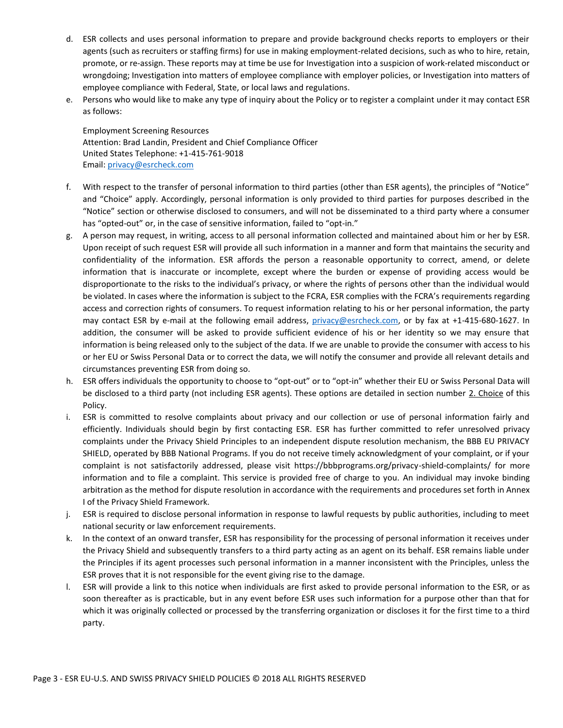- d. ESR collects and uses personal information to prepare and provide background checks reports to employers or their agents (such as recruiters or staffing firms) for use in making employment-related decisions, such as who to hire, retain, promote, or re-assign. These reports may at time be use for Investigation into a suspicion of work-related misconduct or wrongdoing; Investigation into matters of employee compliance with employer policies, or Investigation into matters of employee compliance with Federal, State, or local laws and regulations.
- e. Persons who would like to make any type of inquiry about the Policy or to register a complaint under it may contact ESR as follows:

Employment Screening Resources Attention: Brad Landin, President and Chief Compliance Officer United States Telephone: +1-415-761-9018 Email: [privacy@esrcheck.com](mailto:privacy@esrcheck.com)

- f. With respect to the transfer of personal information to third parties (other than ESR agents), the principles of "Notice" and "Choice" apply. Accordingly, personal information is only provided to third parties for purposes described in the "Notice" section or otherwise disclosed to consumers, and will not be disseminated to a third party where a consumer has "opted-out" or, in the case of sensitive information, failed to "opt-in."
- g. A person may request, in writing, access to all personal information collected and maintained about him or her by ESR. Upon receipt of such request ESR will provide all such information in a manner and form that maintains the security and confidentiality of the information. ESR affords the person a reasonable opportunity to correct, amend, or delete information that is inaccurate or incomplete, except where the burden or expense of providing access would be disproportionate to the risks to the individual's privacy, or where the rights of persons other than the individual would be violated. In cases where the information is subject to the FCRA, ESR complies with the FCRA's requirements regarding access and correction rights of consumers. To request information relating to his or her personal information, the party may contact ESR by e-mail at the following email address, [privacy@esrcheck.com,](mailto:privacy@esrcheck.com) or by fax at +1-415-680-1627. In addition, the consumer will be asked to provide sufficient evidence of his or her identity so we may ensure that information is being released only to the subject of the data. If we are unable to provide the consumer with access to his or her EU or Swiss Personal Data or to correct the data, we will notify the consumer and provide all relevant details and circumstances preventing ESR from doing so.
- h. ESR offers individuals the opportunity to choose to "opt-out" or to "opt-in" whether their EU or Swiss Personal Data will be disclosed to a third party (not including ESR agents). These options are detailed in section number 2. Choice of this Policy.
- i. ESR is committed to resolve complaints about privacy and our collection or use of personal information fairly and efficiently. Individuals should begin by first contacting ESR. ESR has further committed to refer unresolved privacy complaints under the Privacy Shield Principles to an independent dispute resolution mechanism, the BBB EU PRIVACY SHIELD, operated by BBB National Programs. If you do not receive timely acknowledgment of your complaint, or if your complaint is not satisfactorily addressed, please visit https://bbbprograms.org/privacy-shield-complaints/ for more information and to file a complaint. This service is provided free of charge to you. An individual may invoke binding arbitration as the method for dispute resolution in accordance with the requirements and procedures set forth in Annex I of the Privacy Shield Framework.
- j. ESR is required to disclose personal information in response to lawful requests by public authorities, including to meet national security or law enforcement requirements.
- k. In the context of an onward transfer, ESR has responsibility for the processing of personal information it receives under the Privacy Shield and subsequently transfers to a third party acting as an agent on its behalf. ESR remains liable under the Principles if its agent processes such personal information in a manner inconsistent with the Principles, unless the ESR proves that it is not responsible for the event giving rise to the damage.
- l. ESR will provide a link to this notice when individuals are first asked to provide personal information to the ESR, or as soon thereafter as is practicable, but in any event before ESR uses such information for a purpose other than that for which it was originally collected or processed by the transferring organization or discloses it for the first time to a third party.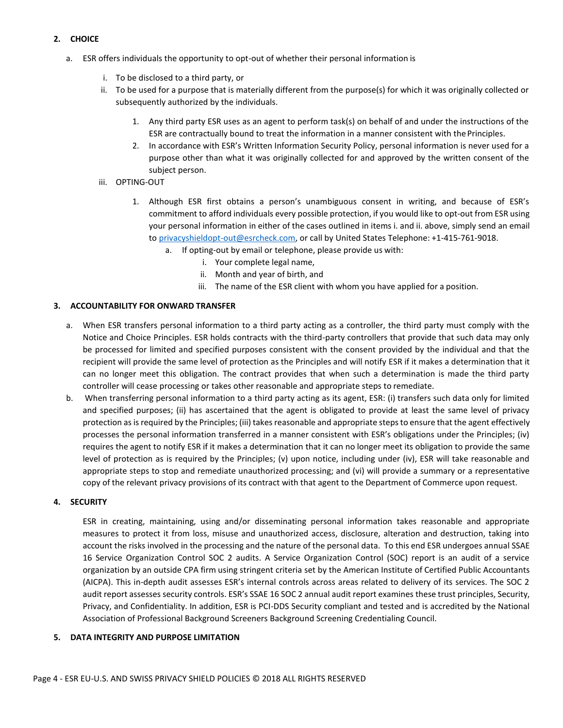# <span id="page-3-0"></span>**2. CHOICE**

- a. ESR offers individuals the opportunity to opt-out of whether their personal information is
	- i. To be disclosed to a third party, or
	- ii. To be used for a purpose that is materially different from the purpose(s) for which it was originally collected or subsequently authorized by the individuals.
		- 1. Any third party ESR uses as an agent to perform task(s) on behalf of and under the instructions of the ESR are contractually bound to treat the information in a manner consistent with the Principles.
		- 2. In accordance with ESR's Written Information Security Policy, personal information is never used for a purpose other than what it was originally collected for and approved by the written consent of the subject person.
	- iii. OPTING-OUT
		- 1. Although ESR first obtains a person's unambiguous consent in writing, and because of ESR's commitment to afford individuals every possible protection, if you would like to opt-out from ESR using your personal information in either of the cases outlined in items i. and ii. above, simply send an email to [privacyshieldopt-out@esrcheck.com, o](mailto:privacyshieldopt-out@esrcheck.com)r call by United States Telephone: +1-415-761-9018.
			- a. If opting-out by email or telephone, please provide us with:
				- i. Your complete legal name,
				- ii. Month and year of birth, and
				- iii. The name of the ESR client with whom you have applied for a position.

# <span id="page-3-1"></span>**3. ACCOUNTABILITY FOR ONWARD TRANSFER**

- a. When ESR transfers personal information to a third party acting as a controller, the third party must comply with the Notice and Choice Principles. ESR holds contracts with the third-party controllers that provide that such data may only be processed for limited and specified purposes consistent with the consent provided by the individual and that the recipient will provide the same level of protection as the Principles and will notify ESR if it makes a determination that it can no longer meet this obligation. The contract provides that when such a determination is made the third party controller will cease processing or takes other reasonable and appropriate steps to remediate.
- b. When transferring personal information to a third party acting as its agent, ESR: (i) transfers such data only for limited and specified purposes; (ii) has ascertained that the agent is obligated to provide at least the same level of privacy protection as is required by the Principles; (iii) takes reasonable and appropriate steps to ensure that the agent effectively processes the personal information transferred in a manner consistent with ESR's obligations under the Principles; (iv) requires the agent to notify ESR if it makes a determination that it can no longer meet its obligation to provide the same level of protection as is required by the Principles; (v) upon notice, including under (iv), ESR will take reasonable and appropriate steps to stop and remediate unauthorized processing; and (vi) will provide a summary or a representative copy of the relevant privacy provisions of its contract with that agent to the Department of Commerce upon request.

# <span id="page-3-2"></span>**4. SECURITY**

ESR in creating, maintaining, using and/or disseminating personal information takes reasonable and appropriate measures to protect it from loss, misuse and unauthorized access, disclosure, alteration and destruction, taking into account the risks involved in the processing and the nature of the personal data. To this end ESR undergoes annual SSAE 16 Service Organization Control SOC 2 audits. A Service Organization Control (SOC) report is an audit of a service organization by an outside CPA firm using stringent criteria set by the American Institute of Certified Public Accountants (AICPA). This in-depth audit assesses ESR's internal controls across areas related to delivery of its services. The SOC 2 audit report assesses security controls. ESR's SSAE 16 SOC 2 annual audit report examines these trust principles, Security, Privacy, and Confidentiality. In addition, ESR is PCI-DDS Security compliant and tested and is accredited by the National Association of Professional Background Screeners Background Screening Credentialing Council.

# <span id="page-3-3"></span>**5. DATA INTEGRITY AND PURPOSE LIMITATION**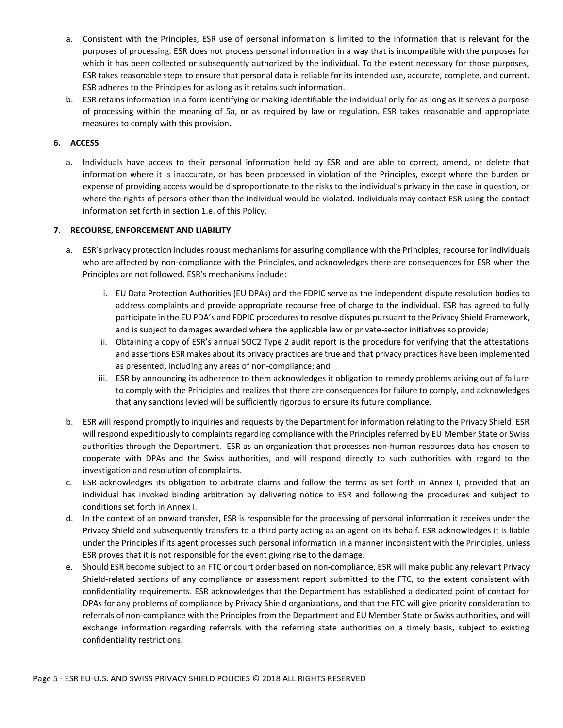- a. Consistent with the Principles, ESR use of personal information is limited to the information that is relevant for the purposes of processing. ESR does not process personal information in a way that is incompatible with the purposes for which it has been collected or subsequently authorized by the individual. To the extent necessary for those purposes, ESR takes reasonable steps to ensure that personal data is reliable for its intended use, accurate, complete, and current. ESR adheres to the Principles for as long as it retains such information.
- b. ESR retains information in a form identifying or making identifiable the individual only for as long as it serves a purpose of processing within the meaning of 5a, or as required by law or regulation. ESR takes reasonable and appropriate measures to comply with this provision.

# <span id="page-4-0"></span>**6. ACCESS**

a. Individuals have access to their personal information held by ESR and are able to correct, amend, or delete that information where it is inaccurate, or has been processed in violation of the Principles, except where the burden or expense of providing access would be disproportionate to the risks to the individual's privacy in the case in question, or where the rights of persons other than the individual would be violated. Individuals may contact ESR using the contact information set forth in section 1.e. of this Policy.

# <span id="page-4-1"></span>**7. RECOURSE, ENFORCEMENT AND LIABILITY**

- a. ESR's privacy protection includes robust mechanisms for assuring compliance with the Principles, recourse for individuals who are affected by non-compliance with the Principles, and acknowledges there are consequences for ESR when the Principles are not followed. ESR's mechanisms include:
	- i. EU Data Protection Authorities (EU DPAs) and the FDPIC serve as the independent dispute resolution bodies to address complaints and provide appropriate recourse free of charge to the individual. ESR has agreed to fully participate in the EU PDA's and FDPIC procedures to resolve disputes pursuant to the Privacy Shield Framework, and is subject to damages awarded where the applicable law or private-sector initiatives so provide;
	- ii. Obtaining a copy of ESR's annual SOC2 Type 2 audit report is the procedure for verifying that the attestations and assertions ESR makes about its privacy practices are true and that privacy practices have been implemented as presented, including any areas of non-compliance; and
	- iii. ESR by announcing its adherence to them acknowledges it obligation to remedy problems arising out of failure to comply with the Principles and realizes that there are consequences for failure to comply, and acknowledges that any sanctions levied will be sufficiently rigorous to ensure its future compliance.
- b. ESR will respond promptly to inquiries and requests by the Department for information relating to the Privacy Shield. ESR will respond expeditiously to complaints regarding compliance with the Principles referred by EU Member State or Swiss authorities through the Department. ESR as an organization that processes non-human resources data has chosen to cooperate with DPAs and the Swiss authorities, and will respond directly to such authorities with regard to the investigation and resolution of complaints.
- c. ESR acknowledges its obligation to arbitrate claims and follow the terms as set forth in Annex I, provided that an individual has invoked binding arbitration by delivering notice to ESR and following the procedures and subject to conditions set forth in Annex I.
- d. In the context of an onward transfer, ESR is responsible for the processing of personal information it receives under the Privacy Shield and subsequently transfers to a third party acting as an agent on its behalf. ESR acknowledges it is liable under the Principles if its agent processes such personal information in a manner inconsistent with the Principles, unless ESR proves that it is not responsible for the event giving rise to the damage.
- e. Should ESR become subject to an FTC or court order based on non-compliance, ESR will make public any relevant Privacy Shield-related sections of any compliance or assessment report submitted to the FTC, to the extent consistent with confidentiality requirements. ESR acknowledges that the Department has established a dedicated point of contact for DPAs for any problems of compliance by Privacy Shield organizations, and that the FTC will give priority consideration to referrals of non-compliance with the Principles from the Department and EU Member State or Swiss authorities, and will exchange information regarding referrals with the referring state authorities on a timely basis, subject to existing confidentiality restrictions.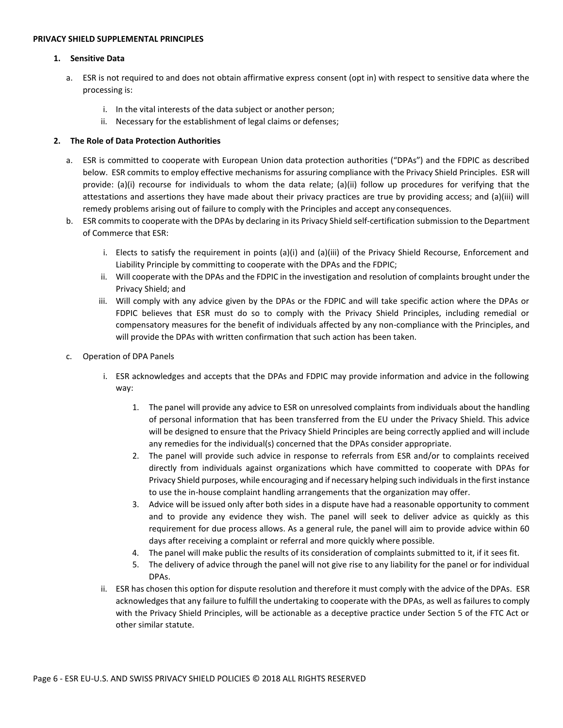#### <span id="page-5-1"></span><span id="page-5-0"></span>**PRIVACY SHIELD SUPPLEMENTAL PRINCIPLES**

#### **1. Sensitive Data**

- a. ESR is not required to and does not obtain affirmative express consent (opt in) with respect to sensitive data where the processing is:
	- i. In the vital interests of the data subject or another person;
	- ii. Necessary for the establishment of legal claims or defenses;

## <span id="page-5-2"></span>**2. The Role of Data Protection Authorities**

- a. ESR is committed to cooperate with European Union data protection authorities ("DPAs") and the FDPIC as described below. ESR commits to employ effective mechanisms for assuring compliance with the Privacy Shield Principles. ESR will provide: (a)(i) recourse for individuals to whom the data relate; (a)(ii) follow up procedures for verifying that the attestations and assertions they have made about their privacy practices are true by providing access; and (a)(iii) will remedy problems arising out of failure to comply with the Principles and accept any consequences.
- b. ESR commits to cooperate with the DPAs by declaring in its Privacy Shield self-certification submission to the Department of Commerce that ESR:
	- i. Elects to satisfy the requirement in points (a)(i) and (a)(iii) of the Privacy Shield Recourse, Enforcement and Liability Principle by committing to cooperate with the DPAs and the FDPIC;
	- ii. Will cooperate with the DPAs and the FDPIC in the investigation and resolution of complaints brought under the Privacy Shield; and
	- iii. Will comply with any advice given by the DPAs or the FDPIC and will take specific action where the DPAs or FDPIC believes that ESR must do so to comply with the Privacy Shield Principles, including remedial or compensatory measures for the benefit of individuals affected by any non-compliance with the Principles, and will provide the DPAs with written confirmation that such action has been taken.
- c. Operation of DPA Panels
	- i. ESR acknowledges and accepts that the DPAs and FDPIC may provide information and advice in the following way:
		- 1. The panel will provide any advice to ESR on unresolved complaints from individuals about the handling of personal information that has been transferred from the EU under the Privacy Shield. This advice will be designed to ensure that the Privacy Shield Principles are being correctly applied and will include any remedies for the individual(s) concerned that the DPAs consider appropriate.
		- 2. The panel will provide such advice in response to referrals from ESR and/or to complaints received directly from individuals against organizations which have committed to cooperate with DPAs for Privacy Shield purposes, while encouraging and if necessary helping such individualsin the first instance to use the in-house complaint handling arrangements that the organization may offer.
		- 3. Advice will be issued only after both sides in a dispute have had a reasonable opportunity to comment and to provide any evidence they wish. The panel will seek to deliver advice as quickly as this requirement for due process allows. As a general rule, the panel will aim to provide advice within 60 days after receiving a complaint or referral and more quickly where possible.
		- 4. The panel will make public the results of its consideration of complaints submitted to it, if it sees fit.
		- 5. The delivery of advice through the panel will not give rise to any liability for the panel or for individual DPAs.
	- ii. ESR has chosen this option for dispute resolution and therefore it must comply with the advice of the DPAs. ESR acknowledges that any failure to fulfill the undertaking to cooperate with the DPAs, as well as failures to comply with the Privacy Shield Principles, will be actionable as a deceptive practice under Section 5 of the FTC Act or other similar statute.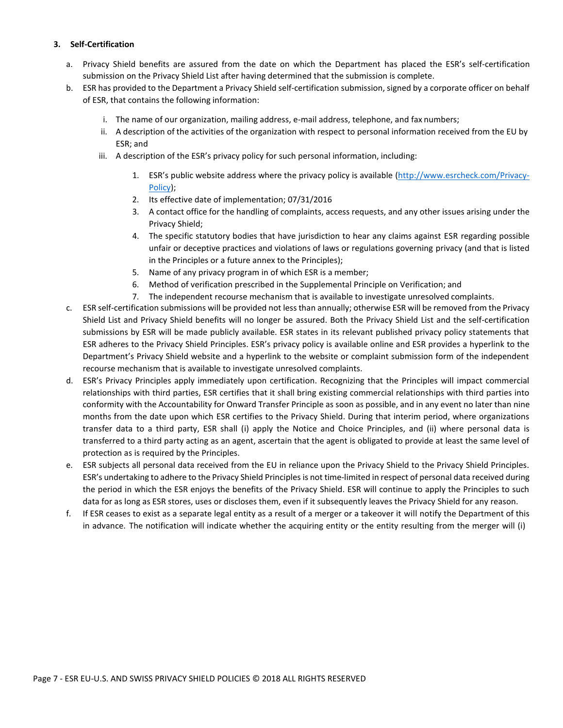# <span id="page-6-0"></span>**3. Self-Certification**

- a. Privacy Shield benefits are assured from the date on which the Department has placed the ESR's self-certification submission on the Privacy Shield List after having determined that the submission is complete.
- b. ESR has provided to the Department a Privacy Shield self-certification submission, signed by a corporate officer on behalf of ESR, that contains the following information:
	- i. The name of our organization, mailing address, e-mail address, telephone, and fax numbers;
	- ii. A description of the activities of the organization with respect to personal information received from the EU by ESR; and
	- iii. A description of the ESR's privacy policy for such personal information, including:
		- 1. ESR's public website address where the privacy policy is available [\(http://www.esrcheck.com/Privacy-](http://www.esrcheck.com/Privacy-Policy)[Policy\)](http://www.esrcheck.com/Privacy-Policy);
		- 2. Its effective date of implementation; 07/31/2016
		- 3. A contact office for the handling of complaints, access requests, and any other issues arising under the Privacy Shield;
		- 4. The specific statutory bodies that have jurisdiction to hear any claims against ESR regarding possible unfair or deceptive practices and violations of laws or regulations governing privacy (and that is listed in the Principles or a future annex to the Principles);
		- 5. Name of any privacy program in of which ESR is a member;
		- 6. Method of verification prescribed in the Supplemental Principle on Verification; and
		- 7. The independent recourse mechanism that is available to investigate unresolved complaints.
- c. ESR self-certification submissions will be provided not lessthan annually; otherwise ESR will be removed from the Privacy Shield List and Privacy Shield benefits will no longer be assured. Both the Privacy Shield List and the self-certification submissions by ESR will be made publicly available. ESR states in its relevant published privacy policy statements that ESR adheres to the Privacy Shield Principles. ESR's privacy policy is available online and ESR provides a hyperlink to the Department's Privacy Shield website and a hyperlink to the website or complaint submission form of the independent recourse mechanism that is available to investigate unresolved complaints.
- d. ESR's Privacy Principles apply immediately upon certification. Recognizing that the Principles will impact commercial relationships with third parties, ESR certifies that it shall bring existing commercial relationships with third parties into conformity with the Accountability for Onward Transfer Principle as soon as possible, and in any event no later than nine months from the date upon which ESR certifies to the Privacy Shield. During that interim period, where organizations transfer data to a third party, ESR shall (i) apply the Notice and Choice Principles, and (ii) where personal data is transferred to a third party acting as an agent, ascertain that the agent is obligated to provide at least the same level of protection as is required by the Principles.
- e. ESR subjects all personal data received from the EU in reliance upon the Privacy Shield to the Privacy Shield Principles. ESR's undertaking to adhere to the Privacy Shield Principles is not time-limited in respect of personal data received during the period in which the ESR enjoys the benefits of the Privacy Shield. ESR will continue to apply the Principles to such data for as long as ESR stores, uses or discloses them, even if it subsequently leaves the Privacy Shield for any reason.
- f. If ESR ceases to exist as a separate legal entity as a result of a merger or a takeover it will notify the Department of this in advance. The notification will indicate whether the acquiring entity or the entity resulting from the merger will (i)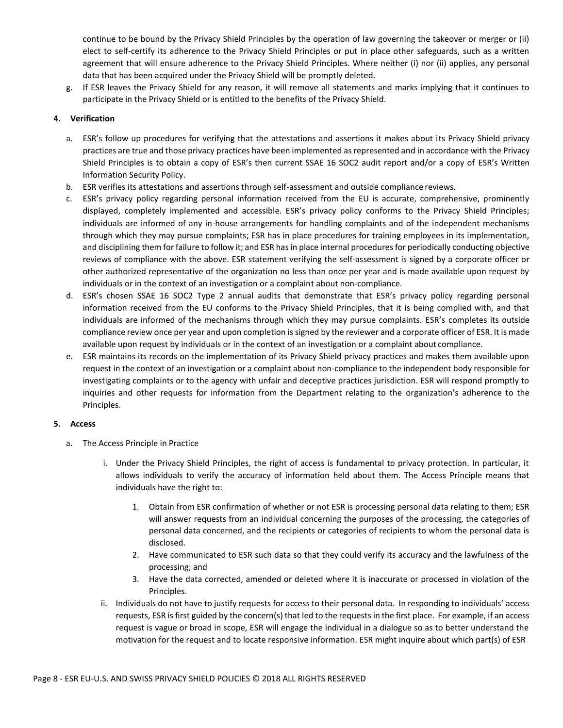continue to be bound by the Privacy Shield Principles by the operation of law governing the takeover or merger or (ii) elect to self-certify its adherence to the Privacy Shield Principles or put in place other safeguards, such as a written agreement that will ensure adherence to the Privacy Shield Principles. Where neither (i) nor (ii) applies, any personal data that has been acquired under the Privacy Shield will be promptly deleted.

g. If ESR leaves the Privacy Shield for any reason, it will remove all statements and marks implying that it continues to participate in the Privacy Shield or is entitled to the benefits of the Privacy Shield.

# <span id="page-7-0"></span>**4. Verification**

- a. ESR's follow up procedures for verifying that the attestations and assertions it makes about its Privacy Shield privacy practices are true and those privacy practices have been implemented as represented and in accordance with the Privacy Shield Principles is to obtain a copy of ESR's then current SSAE 16 SOC2 audit report and/or a copy of ESR's Written Information Security Policy.
- b. ESR verifies its attestations and assertions through self-assessment and outside compliance reviews.
- c. ESR's privacy policy regarding personal information received from the EU is accurate, comprehensive, prominently displayed, completely implemented and accessible. ESR's privacy policy conforms to the Privacy Shield Principles; individuals are informed of any in-house arrangements for handling complaints and of the independent mechanisms through which they may pursue complaints; ESR has in place procedures for training employees in its implementation, and disciplining them for failure to follow it; and ESR has in place internal procedures for periodically conducting objective reviews of compliance with the above. ESR statement verifying the self-assessment is signed by a corporate officer or other authorized representative of the organization no less than once per year and is made available upon request by individuals or in the context of an investigation or a complaint about non-compliance.
- d. ESR's chosen SSAE 16 SOC2 Type 2 annual audits that demonstrate that ESR's privacy policy regarding personal information received from the EU conforms to the Privacy Shield Principles, that it is being complied with, and that individuals are informed of the mechanisms through which they may pursue complaints. ESR's completes its outside compliance review once per year and upon completion is signed by the reviewer and a corporate officer of ESR. It is made available upon request by individuals or in the context of an investigation or a complaint about compliance.
- e. ESR maintains its records on the implementation of its Privacy Shield privacy practices and makes them available upon request in the context of an investigation or a complaint about non-compliance to the independent body responsible for investigating complaints or to the agency with unfair and deceptive practices jurisdiction. ESR will respond promptly to inquiries and other requests for information from the Department relating to the organization's adherence to the Principles.

# <span id="page-7-1"></span>**5. Access**

- a. The Access Principle in Practice
	- i. Under the Privacy Shield Principles, the right of access is fundamental to privacy protection. In particular, it allows individuals to verify the accuracy of information held about them. The Access Principle means that individuals have the right to:
		- 1. Obtain from ESR confirmation of whether or not ESR is processing personal data relating to them; ESR will answer requests from an individual concerning the purposes of the processing, the categories of personal data concerned, and the recipients or categories of recipients to whom the personal data is disclosed.
		- 2. Have communicated to ESR such data so that they could verify its accuracy and the lawfulness of the processing; and
		- 3. Have the data corrected, amended or deleted where it is inaccurate or processed in violation of the Principles.
	- ii. Individuals do not have to justify requests for access to their personal data. In responding to individuals' access requests, ESR is first guided by the concern(s) that led to the requests in the first place. For example, if an access request is vague or broad in scope, ESR will engage the individual in a dialogue so as to better understand the motivation for the request and to locate responsive information. ESR might inquire about which part(s) of ESR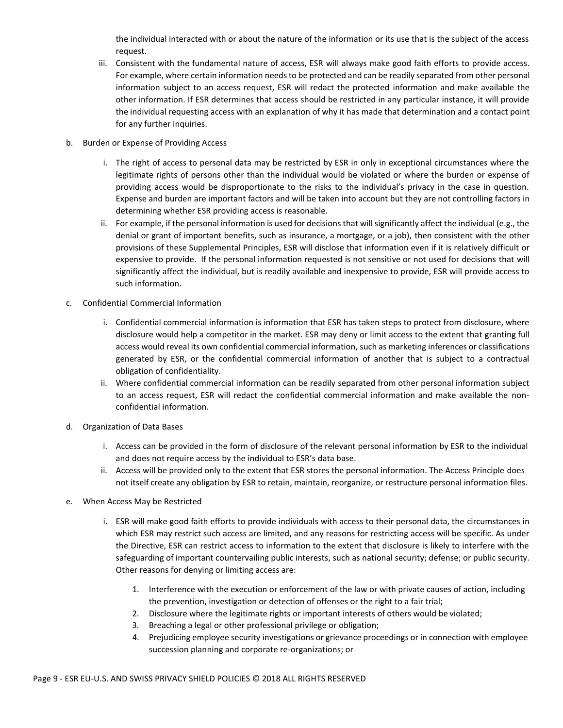the individual interacted with or about the nature of the information or its use that is the subject of the access request.

- iii. Consistent with the fundamental nature of access, ESR will always make good faith efforts to provide access. For example, where certain information needs to be protected and can be readily separated from other personal information subject to an access request, ESR will redact the protected information and make available the other information. If ESR determines that access should be restricted in any particular instance, it will provide the individual requesting access with an explanation of why it has made that determination and a contact point for any further inquiries.
- b. Burden or Expense of Providing Access
	- i. The right of access to personal data may be restricted by ESR in only in exceptional circumstances where the legitimate rights of persons other than the individual would be violated or where the burden or expense of providing access would be disproportionate to the risks to the individual's privacy in the case in question. Expense and burden are important factors and will be taken into account but they are not controlling factors in determining whether ESR providing access is reasonable.
	- ii. For example, if the personal information is used for decisions that will significantly affect the individual (e.g., the denial or grant of important benefits, such as insurance, a mortgage, or a job), then consistent with the other provisions of these Supplemental Principles, ESR will disclose that information even if it is relatively difficult or expensive to provide. If the personal information requested is not sensitive or not used for decisions that will significantly affect the individual, but is readily available and inexpensive to provide, ESR will provide access to such information.
- c. Confidential Commercial Information
	- i. Confidential commercial information is information that ESR has taken steps to protect from disclosure, where disclosure would help a competitor in the market. ESR may deny or limit access to the extent that granting full access would reveal its own confidential commercial information, such as marketing inferences or classifications generated by ESR, or the confidential commercial information of another that is subject to a contractual obligation of confidentiality.
	- ii. Where confidential commercial information can be readily separated from other personal information subject to an access request, ESR will redact the confidential commercial information and make available the nonconfidential information.
- d. Organization of Data Bases
	- i. Access can be provided in the form of disclosure of the relevant personal information by ESR to the individual and does not require access by the individual to ESR's data base.
	- ii. Access will be provided only to the extent that ESR stores the personal information. The Access Principle does not itself create any obligation by ESR to retain, maintain, reorganize, or restructure personal information files.
- e. When Access May be Restricted
	- i. ESR will make good faith efforts to provide individuals with access to their personal data, the circumstances in which ESR may restrict such access are limited, and any reasons for restricting access will be specific. As under the Directive, ESR can restrict access to information to the extent that disclosure is likely to interfere with the safeguarding of important countervailing public interests, such as national security; defense; or public security. Other reasons for denying or limiting access are:
		- 1. Interference with the execution or enforcement of the law or with private causes of action, including the prevention, investigation or detection of offenses or the right to a fair trial;
		- 2. Disclosure where the legitimate rights or important interests of others would be violated;
		- 3. Breaching a legal or other professional privilege or obligation;
		- 4. Prejudicing employee security investigations or grievance proceedings or in connection with employee succession planning and corporate re-organizations; or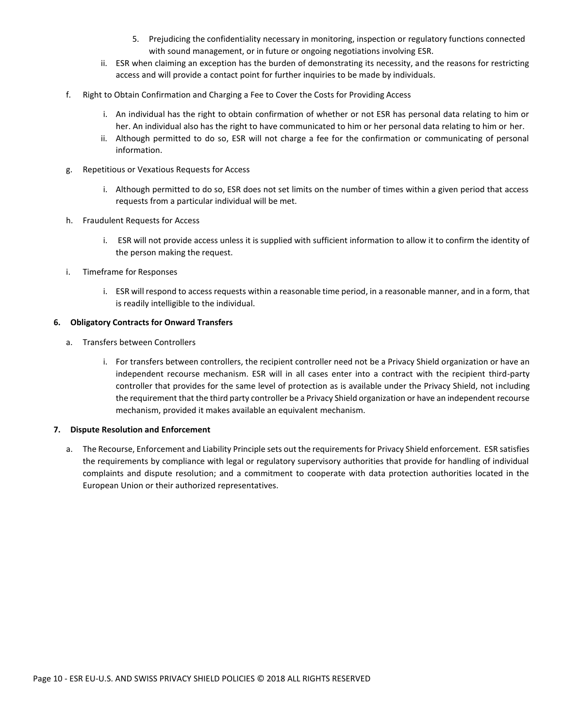- 5. Prejudicing the confidentiality necessary in monitoring, inspection or regulatory functions connected with sound management, or in future or ongoing negotiations involving ESR.
- ii. ESR when claiming an exception has the burden of demonstrating its necessity, and the reasons for restricting access and will provide a contact point for further inquiries to be made by individuals.
- f. Right to Obtain Confirmation and Charging a Fee to Cover the Costs for Providing Access
	- i. An individual has the right to obtain confirmation of whether or not ESR has personal data relating to him or her. An individual also has the right to have communicated to him or her personal data relating to him or her.
	- ii. Although permitted to do so, ESR will not charge a fee for the confirmation or communicating of personal information.
- g. Repetitious or Vexatious Requests for Access
	- i. Although permitted to do so, ESR does not set limits on the number of times within a given period that access requests from a particular individual will be met.
- h. Fraudulent Requests for Access
	- i. ESR will not provide access unless it is supplied with sufficient information to allow it to confirm the identity of the person making the request.
- i. Timeframe for Responses
	- i. ESR will respond to access requests within a reasonable time period, in a reasonable manner, and in a form, that is readily intelligible to the individual.

## <span id="page-9-0"></span>**6. Obligatory Contracts for Onward Transfers**

- a. Transfers between Controllers
	- i. For transfers between controllers, the recipient controller need not be a Privacy Shield organization or have an independent recourse mechanism. ESR will in all cases enter into a contract with the recipient third-party controller that provides for the same level of protection as is available under the Privacy Shield, not including the requirement that the third party controller be a Privacy Shield organization or have an independent recourse mechanism, provided it makes available an equivalent mechanism.

#### <span id="page-9-1"></span>**7. Dispute Resolution and Enforcement**

a. The Recourse, Enforcement and Liability Principle sets out the requirementsfor Privacy Shield enforcement. ESR satisfies the requirements by compliance with legal or regulatory supervisory authorities that provide for handling of individual complaints and dispute resolution; and a commitment to cooperate with data protection authorities located in the European Union or their authorized representatives.